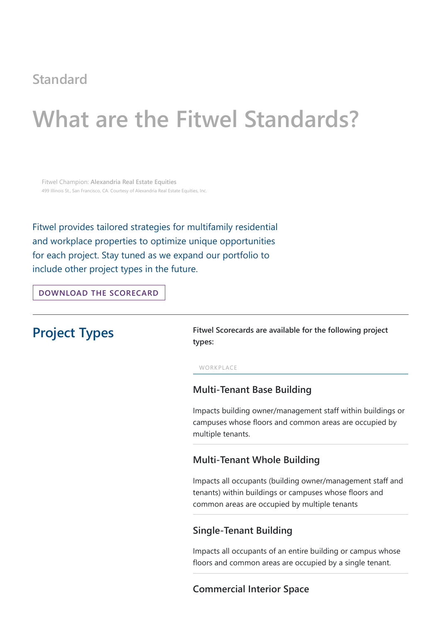## **Standard**

# **What are the Fitwel Standards?**

Fitwel Champion: **Alexandria Real Estate Equities** 499 Illinois St., San Francisco, CA. Courtesy of Alexandria Real Estate Equities, Inc.

**Project Types** Fitwel Scorecards are available for the following project **types:**

Fitwel provides tailored strategies for multifamily residential and workplace properties to optimize unique opportunities for each project. Stay tuned as we expand our portfolio to include other project types in the future.

**[DOWNLOAD](https://fitwel.org/resources) THE SCORECARD**

#### WORKPLACE

### **Multi-Tenant Base Building**

Impacts building owner/management staff within buildings or campuses whose floors and common areas are occupied by multiple tenants.

#### **Multi-Tenant Whole Building**

Impacts all occupants (building owner/management staff and tenants) within buildings or campuses whose floors and common areas are occupied by multiple tenants

### **Single-Tenant Building**

Impacts all occupants of an entire building or campus whose floors and common areas are occupied by a single tenant.

### **Commercial Interior Space**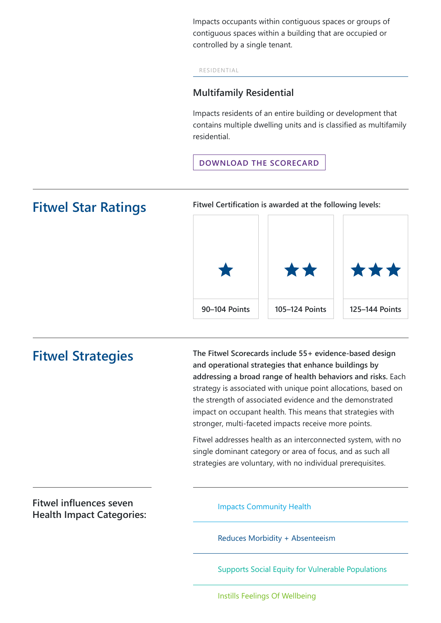Impacts occupants within contiguous spaces or groups of contiguous spaces within a building that are occupied or controlled by a single tenant.

#### RESIDENTIAL

### **Multifamily Residential**

Impacts residents of an entire building or development that contains multiple dwelling units and is classified as multifamily residential.

#### **[DOWNLOAD](https://fitwel.org/resources) THE SCORECARD**

**Fitwel Star Ratings Fitwel Certification is awarded at the following levels:**



**Fitwel Strategies The Fitwel Scorecards include 55+ evidence-based design and operational strategies that enhance buildings by addressing a broad range of health behaviors and risks.** Each strategy is associated with unique point allocations, based on the strength of associated evidence and the demonstrated impact on occupant health. This means that strategies with stronger, multi-faceted impacts receive more points.

> Fitwel addresses health as an interconnected system, with no single dominant category or area of focus, and as such all strategies are voluntary, with no individual prerequisites.

**Fitwel influences seven Health Impact Categories:**

Impacts Community Health

Reduces Morbidity + Absenteeism

Supports Social Equity for Vulnerable Populations

Instills Feelings Of Wellbeing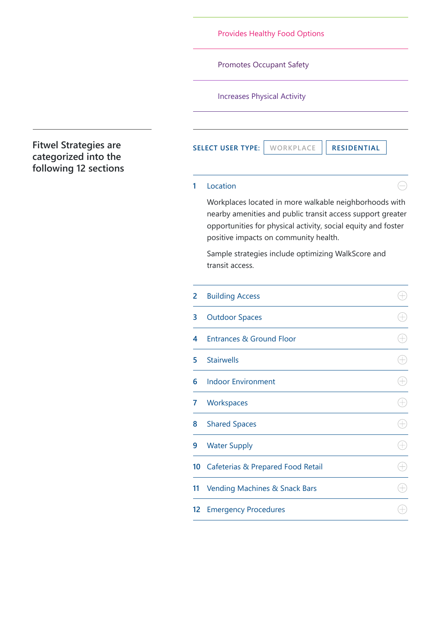### Provides Healthy Food Options

Promotes Occupant Safety

Increases Physical Activity

**Fitwel Strategies are categorized into the following 12 sections**

**SELECT USER TYPE: WORKPLACE RESIDENTIAL**

 $\ominus$ 

 $\bigoplus$ 

 $\bigoplus$ 

<span id="page-2-0"></span>Workplaces located in more walkable neighborhoods with nearby amenities and public transit access support greater opportunities for physical activity, social equity and foster positive impacts on community health.

#### [Location](#page-2-0) **1**

Sample strategies include optimizing WalkScore and transit access.

| $\overline{2}$ | <b>Building Access</b>                       |  |
|----------------|----------------------------------------------|--|
| 3              | <b>Outdoor Spaces</b>                        |  |
| 4              | <b>Entrances &amp; Ground Floor</b>          |  |
| 5              | <b>Stairwells</b>                            |  |
| 6              | <b>Indoor Environment</b>                    |  |
| 7              | Workspaces                                   |  |
| 8              | <b>Shared Spaces</b>                         |  |
| 9              | <b>Water Supply</b>                          |  |
| 10             | <b>Cafeterias &amp; Prepared Food Retail</b> |  |

| 11 |  |  |  | <b>Vending Machines &amp; Snack Bars</b> |  |
|----|--|--|--|------------------------------------------|--|
|----|--|--|--|------------------------------------------|--|

12 Emergency Procedures